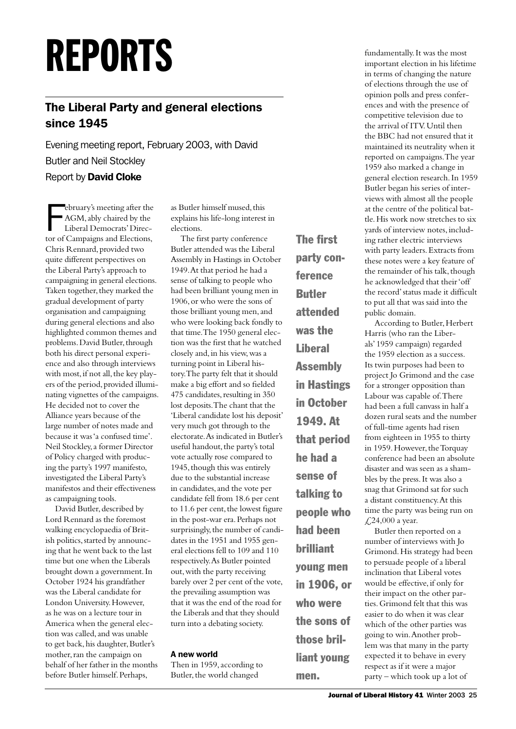# REPORTS

# The Liberal Party and general elections since 1945

Evening meeting report, February 2003, with David Butler and Neil Stockley Report by David Cloke

ebruary's meeting after the<br>AGM, ably chaired by the<br>Liberal Democrats' Direc-<br>tor of Campaigns and Elections, ebruary's meeting after the AGM, ably chaired by the Liberal Democrats' Direc-Chris Rennard, provided two quite different perspectives on the Liberal Party's approach to campaigning in general elections. Taken together, they marked the gradual development of party organisation and campaigning during general elections and also highlighted common themes and problems. David Butler, through both his direct personal experience and also through interviews with most, if not all, the key players of the period, provided illuminating vignettes of the campaigns. He decided not to cover the Alliance years because of the large number of notes made and because it was 'a confused time'. Neil Stockley, a former Director of Policy charged with producing the party's 1997 manifesto, investigated the Liberal Party's manifestos and their effectiveness as campaigning tools.

David Butler, described by Lord Rennard as the foremost walking encyclopaedia of British politics, started by announcing that he went back to the last time but one when the Liberals brought down a government. In October 1924 his grandfather was the Liberal candidate for London University. However, as he was on a lecture tour in America when the general election was called, and was unable to get back, his daughter, Butler's mother, ran the campaign on behalf of her father in the months before Butler himself. Perhaps,

as Butler himself mused, this explains his life-long interest in elections.

The first party conference Butler attended was the Liberal Assembly in Hastings in October 1949. At that period he had a sense of talking to people who had been brilliant young men in 1906, or who were the sons of those brilliant young men, and who were looking back fondly to that time. The 1950 general election was the first that he watched closely and, in his view, was a turning point in Liberal history. The party felt that it should make a big effort and so fielded 475 candidates, resulting in 350 lost deposits. The chant that the 'Liberal candidate lost his deposit' very much got through to the electorate. As indicated in Butler's useful handout, the party's total vote actually rose compared to 1945, though this was entirely due to the substantial increase in candidates, and the vote per candidate fell from 18.6 per cent to 11.6 per cent, the lowest figure in the post-war era. Perhaps not surprisingly, the number of candidates in the 1951 and 1955 general elections fell to 109 and 110 respectively. As Butler pointed out, with the party receiving barely over 2 per cent of the vote, the prevailing assumption was that it was the end of the road for the Liberals and that they should turn into a debating society.

#### A new world

Then in 1959, according to Butler, the world changed

The first party conference Butler attended was the **Liberal** Assembly in Hastings in October 1949. At that period he had a sense of talking to people who had been brilliant young men in 1906, or who were the sons of those brilliant young

men.

fundamentally. It was the most important election in his lifetime in terms of changing the nature of elections through the use of opinion polls and press conferences and with the presence of competitive television due to the arrival of ITV. Until then the BBC had not ensured that it maintained its neutrality when it reported on campaigns. The year 1959 also marked a change in general election research. In 1959 Butler began his series of interviews with almost all the people at the centre of the political battle. His work now stretches to six yards of interview notes, including rather electric interviews with party leaders. Extracts from these notes were a key feature of the remainder of his talk, though he acknowledged that their 'off the record' status made it difficult to put all that was said into the public domain.

According to Butler, Herbert Harris (who ran the Liberals' 1959 campaign) regarded the 1959 election as a success. Its twin purposes had been to project Jo Grimond and the case for a stronger opposition than Labour was capable of. There had been a full canvass in half a dozen rural seats and the number of full-time agents had risen from eighteen in 1955 to thirty in 1959. However, the Torquay conference had been an absolute disaster and was seen as a shambles by the press. It was also a snag that Grimond sat for such a distant constituency. At this time the party was being run on  $\text{\textsterling}24,000$  a year.

Butler then reported on a number of interviews with Jo Grimond. His strategy had been to persuade people of a liberal inclination that Liberal votes would be effective, if only for their impact on the other parties. Grimond felt that this was easier to do when it was clear which of the other parties was going to win. Another problem was that many in the party expected it to behave in every respect as if it were a major party – which took up a lot of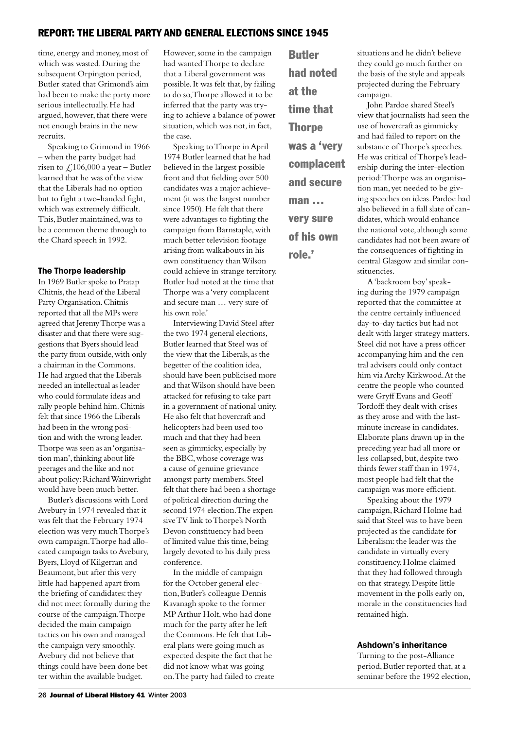# REPORT: THE LIBERAL PARTY AND GENERAL ELECTIONS SINCE 1945

time, energy and money, most of which was wasted. During the subsequent Orpington period, Butler stated that Grimond's aim had been to make the party more serious intellectually. He had argued, however, that there were not enough brains in the new recruits.

Speaking to Grimond in 1966 – when the party budget had risen to  $\angle 106,000$  a year – Butler learned that he was of the view that the Liberals had no option but to fight a two-handed fight, which was extremely difficult. This, Butler maintained, was to be a common theme through to the Chard speech in 1992.

#### The Thorpe leadership

In 1969 Butler spoke to Pratap Chitnis, the head of the Liberal Party Organisation. Chitnis reported that all the MPs were agreed that Jeremy Thorpe was a disaster and that there were suggestions that Byers should lead the party from outside, with only a chairman in the Commons. He had argued that the Liberals needed an intellectual as leader who could formulate ideas and rally people behind him. Chitnis felt that since 1966 the Liberals had been in the wrong position and with the wrong leader. Thorpe was seen as an 'organisation man', thinking about life peerages and the like and not about policy: Richard Wainwright would have been much better.

Butler's discussions with Lord Avebury in 1974 revealed that it was felt that the February 1974 election was very much Thorpe's own campaign. Thorpe had allocated campaign tasks to Avebury, Byers, Lloyd of Kilgerran and Beaumont, but after this very little had happened apart from the briefing of candidates: they did not meet formally during the course of the campaign. Thorpe decided the main campaign tactics on his own and managed the campaign very smoothly. Avebury did not believe that things could have been done better within the available budget.

However, some in the campaign had wanted Thorpe to declare that a Liberal government was possible. It was felt that, by failing to do so, Thorpe allowed it to be inferred that the party was trying to achieve a balance of power situation, which was not, in fact, the case.

Speaking to Thorpe in April 1974 Butler learned that he had believed in the largest possible front and that fielding over 500 candidates was a major achievement (it was the largest number since 1950). He felt that there were advantages to fighting the campaign from Barnstaple, with much better television footage arising from walkabouts in his own constituency than Wilson could achieve in strange territory. Butler had noted at the time that Thorpe was a 'very complacent and secure man … very sure of his own role.'

Interviewing David Steel after the two 1974 general elections, Butler learned that Steel was of the view that the Liberals, as the begetter of the coalition idea, should have been publicised more and that Wilson should have been attacked for refusing to take part in a government of national unity. He also felt that hovercraft and helicopters had been used too much and that they had been seen as gimmicky, especially by the BBC, whose coverage was a cause of genuine grievance amongst party members. Steel felt that there had been a shortage of political direction during the second 1974 election. The expensive TV link to Thorpe's North Devon constituency had been of limited value this time, being largely devoted to his daily press conference.

In the middle of campaign for the October general election, Butler's colleague Dennis Kavanagh spoke to the former MP Arthur Holt, who had done much for the party after he left the Commons. He felt that Liberal plans were going much as expected despite the fact that he did not know what was going on. The party had failed to create

Butler had noted at the time that **Thorpe** was a 'very complacent and secure man … very sure of his own role.'

situations and he didn't believe they could go much further on the basis of the style and appeals projected during the February campaign.

John Pardoe shared Steel's view that journalists had seen the use of hovercraft as gimmicky and had failed to report on the substance of Thorpe's speeches. He was critical of Thorpe's leadership during the inter-election period: Thorpe was an organisation man, yet needed to be giving speeches on ideas. Pardoe had also believed in a full slate of candidates, which would enhance the national vote, although some candidates had not been aware of the consequences of fighting in central Glasgow and similar constituencies.

A 'backroom boy' speaking during the 1979 campaign reported that the committee at the centre certainly influenced day-to-day tactics but had not dealt with larger strategy matters. Steel did not have a press officer accompanying him and the central advisers could only contact him via Archy Kirkwood. At the centre the people who counted were Gryff Evans and Geoff Tordoff: they dealt with crises as they arose and with the lastminute increase in candidates. Elaborate plans drawn up in the preceding year had all more or less collapsed, but, despite twothirds fewer staff than in 1974, most people had felt that the campaign was more efficient.

Speaking about the 1979 campaign, Richard Holme had said that Steel was to have been projected as the candidate for Liberalism: the leader was the candidate in virtually every constituency. Holme claimed that they had followed through on that strategy. Despite little movement in the polls early on, morale in the constituencies had remained high.

#### Ashdown's inheritance

Turning to the post-Alliance period, Butler reported that, at a seminar before the 1992 election,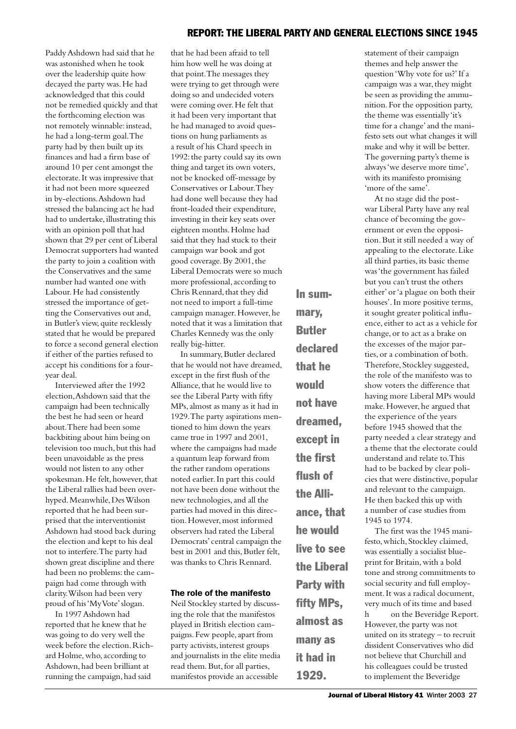# REPORT: THE LIBERAL PARTY AND GENERAL ELECTIONS SINCE 1945

Paddy Ashdown had said that he was astonished when he took over the leadership quite how decayed the party was. He had acknowledged that this could not be remedied quickly and that the forthcoming election was not remotely winnable: instead, he had a long-term goal. The party had by then built up its finances and had a firm base of around 10 per cent amongst the electorate. It was impressive that it had not been more squeezed in by-elections. Ashdown had stressed the balancing act he had had to undertake, illustrating this with an opinion poll that had shown that 29 per cent of Liberal Democrat supporters had wanted the party to join a coalition with the Conservatives and the same number had wanted one with Labour. He had consistently stressed the importance of getting the Conservatives out and, in Butler's view, quite recklessly stated that he would be prepared to force a second general election if either of the parties refused to accept his conditions for a fouryear deal.

Interviewed after the 1992 election, Ashdown said that the campaign had been technically the best he had seen or heard about. There had been some backbiting about him being on television too much, but this had been unavoidable as the press would not listen to any other spokesman. He felt, however, that the Liberal rallies had been overhyped. Meanwhile, Des Wilson reported that he had been surprised that the interventionist Ashdown had stood back during the election and kept to his deal not to interfere. The party had shown great discipline and there had been no problems: the campaign had come through with clarity. Wilson had been very proud of his 'My Vote' slogan.

In 1997 Ashdown had reported that he knew that he was going to do very well the week before the election. Richard Holme, who, according to Ashdown, had been brilliant at running the campaign, had said

that he had been afraid to tell him how well he was doing at that point. The messages they were trying to get through were doing so and undecided voters were coming over. He felt that it had been very important that he had managed to avoid questions on hung parliaments as a result of his Chard speech in 1992: the party could say its own thing and target its own voters, not be knocked off-message by Conservatives or Labour. They had done well because they had front-loaded their expenditure, investing in their key seats over eighteen months. Holme had said that they had stuck to their campaign war book and got good coverage. By 2001, the Liberal Democrats were so much more professional, according to Chris Rennard, that they did not need to import a full-time campaign manager. However, he noted that it was a limitation that Charles Kennedy was the only really big-hitter.

In summary, Butler declared that he would not have dreamed, except in the first flush of the Alliance, that he would live to see the Liberal Party with fifty MPs, almost as many as it had in 1929. The party aspirations mentioned to him down the years came true in 1997 and 2001, where the campaigns had made a quantum leap forward from the rather random operations noted earlier. In part this could not have been done without the new technologies, and all the parties had moved in this direction. However, most informed observers had rated the Liberal Democrats' central campaign the best in 2001 and this, Butler felt, was thanks to Chris Rennard.

#### The role of the manifesto

Neil Stockley started by discussing the role that the manifestos played in British election campaigns. Few people, apart from party activists, interest groups and journalists in the elite media read them. But, for all parties, manifestos provide an accessible

In summary, Butler declared that he would not have dreamed, except in the first flush of the Alliance, that he would live to see the Liberal Party with fifty MPs, almost as many as it had in

1929.

statement of their campaign themes and help answer the question 'Why vote for us?' If a campaign was a war, they might be seen as providing the ammunition. For the opposition party, the theme was essentially 'it's time for a change' and the manifesto sets out what changes it will make and why it will be better. The governing party's theme is always 'we deserve more time', with its manifesto promising 'more of the same'.

At no stage did the postwar Liberal Party have any real chance of becoming the government or even the opposition. But it still needed a way of appealing to the electorate. Like all third parties, its basic theme was 'the government has failed but you can't trust the others either' or 'a plague on both their houses'. In more positive terms, it sought greater political influence, either to act as a vehicle for change, or to act as a brake on the excesses of the major parties, or a combination of both. Therefore, Stockley suggested, the role of the manifesto was to show voters the difference that having more Liberal MPs would make. However, he argued that the experience of the years before 1945 showed that the party needed a clear strategy and a theme that the electorate could understand and relate to. This had to be backed by clear policies that were distinctive, popular and relevant to the campaign. He then backed this up with a number of case studies from 1945 to 1974.

The first was the 1945 manifesto, which, Stockley claimed, was essentially a socialist blueprint for Britain, with a bold tone and strong commitments to social security and full employment. It was a radical document, very much of its time and based In 1997 Ashdown had h on the Beveridge Report. However, the party was not united on its strategy – to recruit dissident Conservatives who did not believe that Churchill and his colleagues could be trusted to implement the Beveridge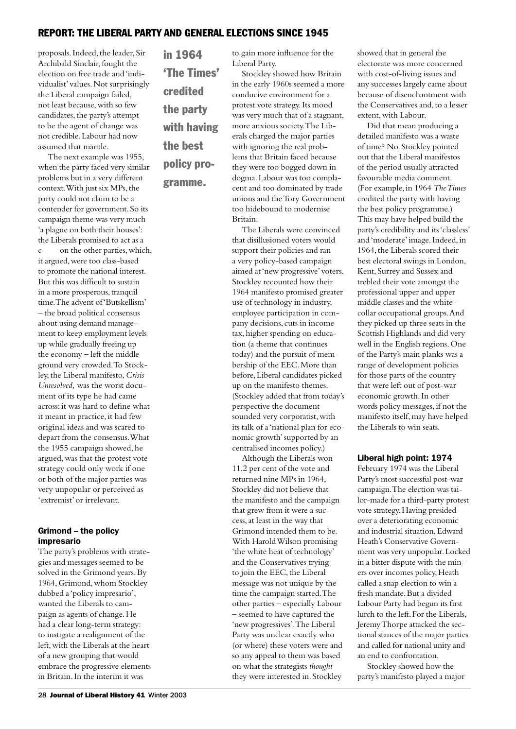# REPORT: THE LIBERAL PARTY AND GENERAL ELECTIONS SINCE 1945

proposals. Indeed, the leader, Sir Archibald Sinclair, fought the election on free trade and 'individualist' values. Not surprisingly the Liberal campaign failed, not least because, with so few candidates, the party's attempt to be the agent of change was not credible. Labour had now assumed that mantle.

The next example was 1955, when the party faced very similar problems but in a very different context. With just six MPs, the party could not claim to be a contender for government. So its campaign theme was very much 'a plague on both their houses': the Liberals promised to act as a c on the other parties, which, it argued, were too class-based to promote the national interest. But this was difficult to sustain in a more prosperous, tranquil time. The advent of 'Butskellism' – the broad political consensus about using demand management to keep employment levels up while gradually freeing up the economy – left the middle ground very crowded. To Stockley, the Liberal manifesto, *Crisis Unresolved,* was the worst document of its type he had came across: it was hard to define what it meant in practice, it had few original ideas and was scared to depart from the consensus. What the 1955 campaign showed, he argued, was that the protest vote strategy could only work if one or both of the major parties was very unpopular or perceived as 'extremist' or irrelevant.

#### Grimond – the policy impresario

The party's problems with strategies and messages seemed to be solved in the Grimond years. By 1964, Grimond, whom Stockley dubbed a 'policy impresario', wanted the Liberals to campaign as agents of change. He had a clear long-term strategy: to instigate a realignment of the left, with the Liberals at the heart of a new grouping that would embrace the progressive elements in Britain. In the interim it was

in 1964 'The Times' credited the party with having the best policy pro-

gramme.

to gain more influence for the Liberal Party.

Stockley showed how Britain in the early 1960s seemed a more conducive environment for a protest vote strategy. Its mood was very much that of a stagnant, more anxious society. The Liberals charged the major parties with ignoring the real problems that Britain faced because they were too bogged down in dogma. Labour was too complacent and too dominated by trade unions and the Tory Government too hidebound to modernise Britain.

The Liberals were convinced that disillusioned voters would support their policies and ran a very policy-based campaign aimed at 'new progressive' voters. Stockley recounted how their 1964 manifesto promised greater use of technology in industry, employee participation in company decisions, cuts in income tax, higher spending on education (a theme that continues today) and the pursuit of membership of the EEC. More than before, Liberal candidates picked up on the manifesto themes. (Stockley added that from today's perspective the document sounded very corporatist, with its talk of a 'national plan for economic growth' supported by an centralised incomes policy.)

Although the Liberals won 11.2 per cent of the vote and returned nine MPs in 1964, Stockley did not believe that the manifesto and the campaign that grew from it were a success, at least in the way that Grimond intended them to be. With Harold Wilson promising 'the white heat of technology' and the Conservatives trying to join the EEC, the Liberal message was not unique by the time the campaign started. The other parties – especially Labour – seemed to have captured the 'new progressives'. The Liberal Party was unclear exactly who (or where) these voters were and so any appeal to them was based on what the strategists *thought*  they were interested in. Stockley

showed that in general the electorate was more concerned with cost-of-living issues and any successes largely came about because of disenchantment with the Conservatives and, to a lesser extent, with Labour.

Did that mean producing a detailed manifesto was a waste of time? No. Stockley pointed out that the Liberal manifestos of the period usually attracted favourable media comment. (For example, in 1964 *The Times*  credited the party with having the best policy programme.) This may have helped build the party's credibility and its 'classless' and 'moderate' image. Indeed, in 1964, the Liberals scored their best electoral swings in London, Kent, Surrey and Sussex and trebled their vote amongst the professional upper and upper middle classes and the whitecollar occupational groups. And they picked up three seats in the Scottish Highlands and did very well in the English regions. One of the Party's main planks was a range of development policies for those parts of the country that were left out of post-war economic growth. In other words policy messages, if not the manifesto itself, may have helped the Liberals to win seats.

#### Liberal high point: 1974

February 1974 was the Liberal Party's most successful post-war campaign. The election was tailor-made for a third-party protest vote strategy. Having presided over a deteriorating economic and industrial situation, Edward Heath's Conservative Government was very unpopular. Locked in a bitter dispute with the miners over incomes policy, Heath called a snap election to win a fresh mandate. But a divided Labour Party had begun its first lurch to the left. For the Liberals, Jeremy Thorpe attacked the sectional stances of the major parties and called for national unity and an end to confrontation.

Stockley showed how the party's manifesto played a major